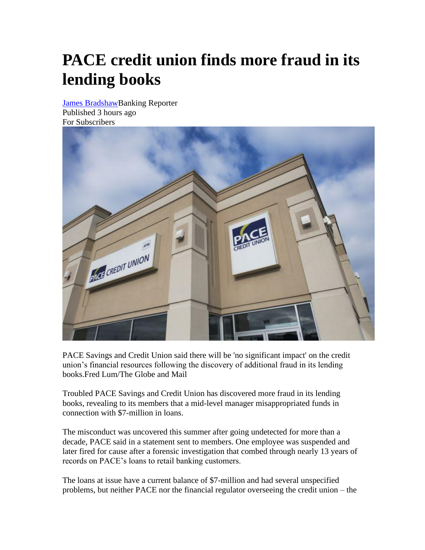## **PACE credit union finds more fraud in its lending books**

[James BradshawB](https://www.theglobeandmail.com/authors/james-bradshaw/)anking Reporter Published 3 hours ago For Subscribers



PACE Savings and Credit Union said there will be 'no significant impact' on the credit union's financial resources following the discovery of additional fraud in its lending books.Fred Lum/The Globe and Mail

Troubled PACE Savings and Credit Union has discovered more fraud in its lending books, revealing to its members that a mid-level manager misappropriated funds in connection with \$7-million in loans.

The misconduct was uncovered this summer after going undetected for more than a decade, PACE said in a statement sent to members. One employee was suspended and later fired for cause after a forensic investigation that combed through nearly 13 years of records on PACE's loans to retail banking customers.

The loans at issue have a current balance of \$7-million and had several unspecified problems, but neither PACE nor the financial regulator overseeing the credit union – the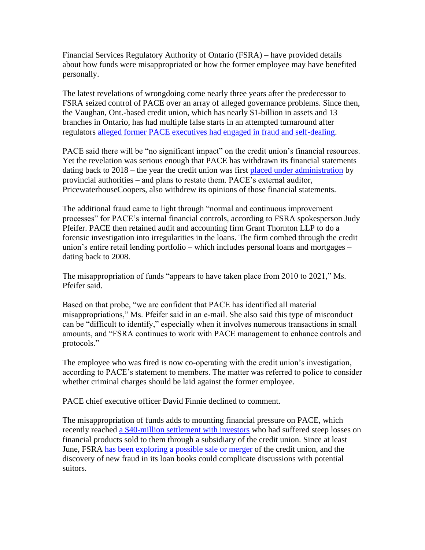Financial Services Regulatory Authority of Ontario (FSRA) – have provided details about how funds were misappropriated or how the former employee may have benefited personally.

The latest revelations of wrongdoing come nearly three years after the predecessor to FSRA seized control of PACE over an array of alleged governance problems. Since then, the Vaughan, Ont.-based credit union, which has nearly \$1-billion in assets and 13 branches in Ontario, has had multiple false starts in an attempted turnaround after regulators [alleged former PACE executives had engaged in fraud and self-dealing.](https://www.theglobeandmail.com/business/article-pace-credit-union-executives-accused-of-fraud-over-years-of-secret/)

PACE said there will be "no significant impact" on the credit union's financial resources. Yet the revelation was serious enough that PACE has withdrawn its financial statements dating back to 2018 – the year the credit union was first [placed under administration](https://www.theglobeandmail.com/business/article-pace-credit-union-placed-under-regulatory-administration-amid/) by provincial authorities – and plans to restate them. PACE's external auditor, PricewaterhouseCoopers, also withdrew its opinions of those financial statements.

The additional fraud came to light through "normal and continuous improvement processes" for PACE's internal financial controls, according to FSRA spokesperson Judy Pfeifer. PACE then retained audit and accounting firm Grant Thornton LLP to do a forensic investigation into irregularities in the loans. The firm combed through the credit union's entire retail lending portfolio – which includes personal loans and mortgages – dating back to 2008.

The misappropriation of funds "appears to have taken place from 2010 to 2021," Ms. Pfeifer said.

Based on that probe, "we are confident that PACE has identified all material misappropriations," Ms. Pfeifer said in an e-mail. She also said this type of misconduct can be "difficult to identify," especially when it involves numerous transactions in small amounts, and "FSRA continues to work with PACE management to enhance controls and protocols."

The employee who was fired is now co-operating with the credit union's investigation, according to PACE's statement to members. The matter was referred to police to consider whether criminal charges should be laid against the former employee.

PACE chief executive officer David Finnie declined to comment.

The misappropriation of funds adds to mounting financial pressure on PACE, which recently reached [a \\$40-million settlement with investors](https://www.theglobeandmail.com/business/article-pace-credit-union-reaches-tentative-40-million-settlement-with/) who had suffered steep losses on financial products sold to them through a subsidiary of the credit union. Since at least June, FSRA [has been exploring a possible sale or merger](https://www.theglobeandmail.com/business/article-ontarios-financial-regulator-puts-struggling-pace-credit-union-up-for/) of the credit union, and the discovery of new fraud in its loan books could complicate discussions with potential suitors.